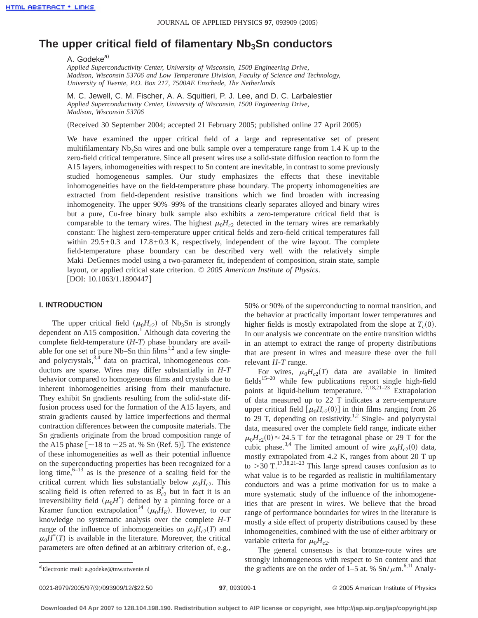# The upper critical field of filamentary Nb<sub>3</sub>Sn conductors

A. Godeke<sup>a)</sup>

*Applied Superconductivity Center, University of Wisconsin, 1500 Engineering Drive, Madison, Wisconsin 53706 and Low Temperature Division, Faculty of Science and Technology, University of Twente, P.O. Box 217, 7500AE Enschede, The Netherlands*

M. C. Jewell, C. M. Fischer, A. A. Squitieri, P. J. Lee, and D. C. Larbalestier *Applied Superconductivity Center, University of Wisconsin, 1500 Engineering Drive, Madison, Wisconsin 53706*

(Received 30 September 2004; accepted 21 February 2005; published online 27 April 2005)

We have examined the upper critical field of a large and representative set of present multifilamentary  $Nb<sub>3</sub>Sn$  wires and one bulk sample over a temperature range from 1.4 K up to the zero-field critical temperature. Since all present wires use a solid-state diffusion reaction to form the A15 layers, inhomogeneities with respect to Sn content are inevitable, in contrast to some previously studied homogeneous samples. Our study emphasizes the effects that these inevitable inhomogeneities have on the field-temperature phase boundary. The property inhomogeneities are extracted from field-dependent resistive transitions which we find broaden with increasing inhomogeneity. The upper 90%–99% of the transitions clearly separates alloyed and binary wires but a pure, Cu-free binary bulk sample also exhibits a zero-temperature critical field that is comparable to the ternary wires. The highest  $\mu_0H_{c2}$  detected in the ternary wires are remarkably constant: The highest zero-temperature upper critical fields and zero-field critical temperatures fall within  $29.5\pm0.3$  and  $17.8\pm0.3$  K, respectively, independent of the wire layout. The complete field-temperature phase boundary can be described very well with the relatively simple Maki–DeGennes model using a two-parameter fit, independent of composition, strain state, sample layout, or applied critical state criterion. © *2005 American Institute of Physics*. [DOI: 10.1063/1.1890447]

#### **I. INTRODUCTION**

The upper critical field  $(\mu_0H_{c2})$  of Nb<sub>3</sub>Sn is strongly dependent on A15 composition.<sup>1</sup> Although data covering the complete field-temperature  $(H-T)$  phase boundary are available for one set of pure Nb–Sn thin films<sup>1,2</sup> and a few singleand polycrystals, $3,4$  data on practical, inhomogeneous conductors are sparse. Wires may differ substantially in *H*-*T* behavior compared to homogeneous films and crystals due to inherent inhomogeneities arising from their manufacture. They exhibit Sn gradients resulting from the solid-state diffusion process used for the formation of the A15 layers, and strain gradients caused by lattice imperfections and thermal contraction differences between the composite materials. The Sn gradients originate from the broad composition range of the A15 phase  $\lceil \sim 18$  to  $\sim 25$  at. % Sn (Ref. 5)]. The existence of these inhomogeneities as well as their potential influence on the superconducting properties has been recognized for a long time,  $6-13$  as is the presence of a scaling field for the critical current which lies substantially below  $\mu_0H_{c2}$ . This scaling field is often referred to as  $B_{c2}^*$  but in fact it is an irreversibility field  $(\mu_0 H^*)$  defined by a pinning force or a Kramer function extrapolation<sup>14</sup> ( $\mu_0H_K$ ). However, to our knowledge no systematic analysis over the complete *H*-*T* range of the influence of inhomogeneities on  $\mu_0H_{c2}(T)$  and  $\mu_0 H^*(T)$  is available in the literature. Moreover, the critical parameters are often defined at an arbitrary criterion of, e.g.,

50% or 90% of the superconducting to normal transition, and the behavior at practically important lower temperatures and higher fields is mostly extrapolated from the slope at  $T_c(0)$ . In our analysis we concentrate on the entire transition widths in an attempt to extract the range of property distributions that are present in wires and measure these over the full relevant *H*-*T* range.

For wires,  $\mu_0 H_{c2}(T)$  data are available in limited fields<sup>15–20</sup> while few publications report single high-field points at liquid-helium temperature.<sup>17,18,21-23</sup> Extrapolation of data measured up to 22 T indicates a zero-temperature upper critical field  $\left[\mu_0 H_{c2}(0)\right]$  in thin films ranging from 26 to 29 T, depending on resistivity.<sup>1,2</sup> Single- and polycrystal data, measured over the complete field range, indicate either  $\mu_0H_{c2}(0) \approx 24.5$  T for the tetragonal phase or 29 T for the cubic phase.<sup>3,4</sup> The limited amount of wire  $\mu_0H_{c2}(0)$  data, mostly extrapolated from 4.2 K, ranges from about 20 T up to  $>$ 30 T.<sup>17,18,21–23</sup> This large spread causes confusion as to what value is to be regarded as realistic in multifilamentary conductors and was a prime motivation for us to make a more systematic study of the influence of the inhomogeneities that are present in wires. We believe that the broad range of performance boundaries for wires in the literature is mostly a side effect of property distributions caused by these inhomogeneities, combined with the use of either arbitrary or variable criteria for  $\mu_0H_{c2}$ .

The general consensus is that bronze-route wires are strongly inhomogeneous with respect to Sn content and that the gradients are on the order of 1–5 at. %  $\text{Sn}/\mu\text{m}^{6,11}$  Analy-

a)Electronic mail: a.godeke@tnw.utwente.nl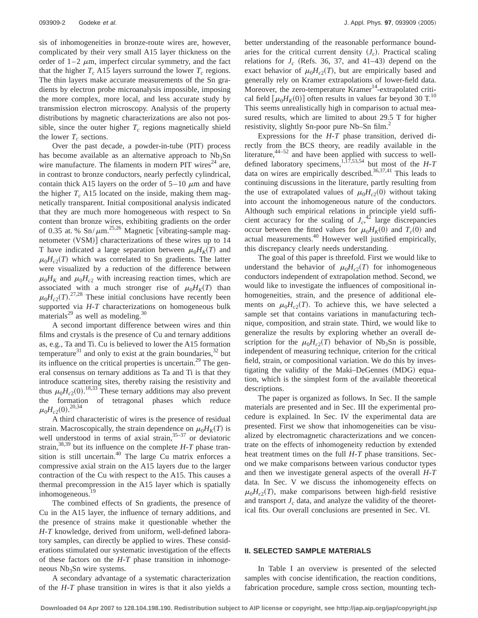sis of inhomogeneities in bronze-route wires are, however, complicated by their very small A15 layer thickness on the order of  $1-2$   $\mu$ m, imperfect circular symmetry, and the fact that the higher  $T_c$  A15 layers surround the lower  $T_c$  regions. The thin layers make accurate measurements of the Sn gradients by electron probe microanalysis impossible, imposing the more complex, more local, and less accurate study by transmission electron microscopy. Analysis of the property distributions by magnetic characterizations are also not possible, since the outer higher  $T_c$  regions magnetically shield the lower  $T_c$  sections.

Over the past decade, a powder-in-tube (PIT) process has become available as an alternative approach to  $Nb<sub>3</sub>Sn$ wire manufacture. The filaments in modern PIT wires<sup>24</sup> are, in contrast to bronze conductors, nearly perfectly cylindrical, contain thick A15 layers on the order of  $5-10 \mu m$  and have the higher  $T_c$  A15 located on the inside, making them magnetically transparent. Initial compositional analysis indicated that they are much more homogeneous with respect to Sn content than bronze wires, exhibiting gradients on the order of 0.35 at. %  $\text{Sn}/\mu\text{m}^{25,26}$  Magnetic [vibrating-sample magnetometer (VSM)] characterizations of these wires up to 14 T have indicated a large separation between  $\mu_0 H_K(T)$  and  $\mu_0H_{c2}(T)$  which was correlated to Sn gradients. The latter were visualized by a reduction of the difference between  $\mu_0 H_K$  and  $\mu_0 H_{c2}$  with increasing reaction times, which are associated with a much stronger rise of  $\mu_0 H_K(T)$  than  $\mu_0 H_{c2}(T)$ <sup>27,28</sup> These initial conclusions have recently been supported via *H*-*T* characterizations on homogeneous bulk materials<sup>29</sup> as well as modeling.<sup>30</sup>

A second important difference between wires and thin films and crystals is the presence of Cu and ternary additions as, e.g., Ta and Ti. Cu is believed to lower the A15 formation temperature $31$  and only to exist at the grain boundaries,  $32$  but its influence on the critical properties is uncertain.<sup>29</sup> The general consensus on ternary additions as Ta and Ti is that they introduce scattering sites, thereby raising the resistivity and thus  $\mu_0 H_{c2}(0)$ .<sup>18,33</sup> These ternary additions may also prevent the formation of tetragonal phases which reduce  $\mu_0 H_{c2}(0)$ .<sup>20,34</sup>

A third characteristic of wires is the presence of residual strain. Macroscopically, the strain dependence on  $\mu_0 H_K(T)$  is well understood in terms of axial strain, $35-37$  or deviatoric strain,<sup>38,39</sup> but its influence on the complete  $H$ -*T* phase transition is still uncertain.40 The large Cu matrix enforces a compressive axial strain on the A15 layers due to the larger contraction of the Cu with respect to the A15. This causes a thermal precompression in the A15 layer which is spatially inhomogeneous.<sup>19</sup>

The combined effects of Sn gradients, the presence of Cu in the A15 layer, the influence of ternary additions, and the presence of strains make it questionable whether the *H*-*T* knowledge, derived from uniform, well-defined laboratory samples, can directly be applied to wires. These considerations stimulated our systematic investigation of the effects of these factors on the *H*-*T* phase transition in inhomogeneous  $Nb<sub>3</sub>Sn$  wire systems.

A secondary advantage of a systematic characterization of the *H*-*T* phase transition in wires is that it also yields a better understanding of the reasonable performance boundaries for the critical current density  $(J_c)$ . Practical scaling relations for  $J_c$  (Refs. 36, 37, and 41–43) depend on the exact behavior of  $\mu_0 H_{c2}(T)$ , but are empirically based and generally rely on Kramer extrapolations of lower-field data. Moreover, the zero-temperature Kramer<sup>14</sup>-extrapolated critical field  $\left[\mu_0 H_K(0)\right]$  often results in values far beyond 30 T.<sup>10</sup> This seems unrealistically high in comparison to actual measured results, which are limited to about 29.5 T for higher resistivity, slightly Sn-poor pure Nb–Sn film.<sup>2</sup>

Expressions for the *H*-*T* phase transition, derived directly from the BCS theory, are readily available in the literature,  $44-52$  and have been applied with success to welldefined laboratory specimens,<sup>1,17,53,54</sup> but most of the  $H$ -*T* data on wires are empirically described.<sup>36,37,41</sup> This leads to continuing discussions in the literature, partly resulting from the use of extrapolated values of  $\mu_0H_{c2}(0)$  without taking into account the inhomogeneous nature of the conductors. Although such empirical relations in principle yield sufficient accuracy for the scaling of  $J_c$ <sup>42</sup> large discrepancies occur between the fitted values for  $\mu_0 H_K(0)$  and  $T_c(0)$  and actual measurements.40 However well justified empirically, this discrepancy clearly needs understanding.

The goal of this paper is threefold. First we would like to understand the behavior of  $\mu_0H_{c2}(T)$  for inhomogeneous conductors independent of extrapolation method. Second, we would like to investigate the influences of compositional inhomogeneities, strain, and the presence of additional elements on  $\mu_0H_{c2}(T)$ . To achieve this, we have selected a sample set that contains variations in manufacturing technique, composition, and strain state. Third, we would like to generalize the results by exploring whether an overall description for the  $\mu_0 H_{c2}(T)$  behavior of Nb<sub>3</sub>Sn is possible, independent of measuring technique, criterion for the critical field, strain, or compositional variation. We do this by investigating the validity of the Maki–DeGennes (MDG) equation, which is the simplest form of the available theoretical descriptions.

The paper is organized as follows. In Sec. II the sample materials are presented and in Sec. III the experimental procedure is explained. In Sec. IV the experimental data are presented. First we show that inhomogeneities can be visualized by electromagnetic characterizations and we concentrate on the effects of inhomogeneity reduction by extended heat treatment times on the full *H*-*T* phase transitions. Second we make comparisons between various conductor types and then we investigate general aspects of the overall *H*-*T* data. In Sec. V we discuss the inhomogeneity effects on  $\mu_0H_{c2}(T)$ , make comparisons between high-field resistive and transport  $J_c$  data, and analyze the validity of the theoretical fits. Our overall conclusions are presented in Sec. VI.

### **II. SELECTED SAMPLE MATERIALS**

In Table I an overview is presented of the selected samples with concise identification, the reaction conditions, fabrication procedure, sample cross section, mounting tech-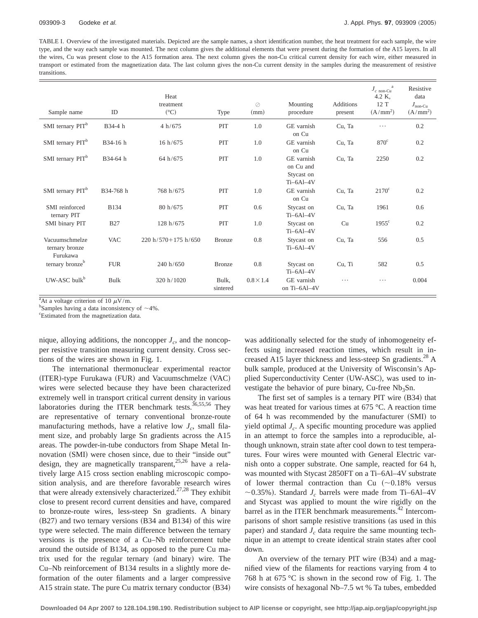TABLE I. Overview of the investigated materials. Depicted are the sample names, a short identification number, the heat treatment for each sample, the wire type, and the way each sample was mounted. The next column gives the additional elements that were present during the formation of the A15 layers. In all the wires, Cu was present close to the A15 formation area. The next column gives the non-Cu critical current density for each wire, either measured in transport or estimated from the magnetization data. The last column gives the non-Cu current density in the samples during the measurement of resistive transitions.

| Sample name                                  | ID          | Heat<br>treatment<br>$({}^{\circ}C)$ | Type              | $\oslash$<br>(mm) | Mounting<br>procedure                                | <b>Additions</b><br>present | $J_{c\ \rm non-Cu}^{\quad \  a}$<br>4.2 K,<br>12 T<br>(A/mm <sup>2</sup> ) | Resistive<br>data<br>$J_{\text{non-Cu}}$<br>(A/mm <sup>2</sup> ) |
|----------------------------------------------|-------------|--------------------------------------|-------------------|-------------------|------------------------------------------------------|-----------------------------|----------------------------------------------------------------------------|------------------------------------------------------------------|
| SMI ternary PIT <sup>b</sup>                 | B34-4 h     | 4 h/675                              | PIT               | 1.0               | GE varnish<br>on Cu                                  | Cu, Ta                      | $\cdots$                                                                   | 0.2                                                              |
| SMI ternary PIT <sup>b</sup>                 | B34-16 h    | 16 h/675                             | PIT               | 1.0               | GE varnish<br>on Cu                                  | Cu, Ta                      | $870^{\circ}$                                                              | 0.2                                                              |
| SMI ternary PIT <sup>b</sup>                 | B34-64 h    | 64 h/675                             | PIT               | 1.0               | GE varnish<br>on Cu and<br>Stycast on<br>$Ti-6Al-4V$ | Cu, Ta                      | 2250                                                                       | 0.2                                                              |
| SMI ternary PIT <sup>b</sup>                 | B34-768 h   | 768 h/675                            | PIT               | 1.0               | GE varnish<br>on Cu                                  | Cu, Ta                      | $2170^{\circ}$                                                             | 0.2                                                              |
| SMI reinforced<br>ternary PIT                | <b>B134</b> | 80 h/675                             | PIT               | 0.6               | Stycast on<br>$Ti-6Al-4V$                            | Cu, Ta                      | 1961                                                                       | 0.6                                                              |
| SMI binary PIT                               | <b>B27</b>  | 128 h/675                            | PIT               | 1.0               | Stycast on<br>$Ti-6Al-4V$                            | Cu                          | $1955^{\circ}$                                                             | 0.2                                                              |
| Vacuumschmelze<br>ternary bronze<br>Furukawa | <b>VAC</b>  | $220 h/570 + 175 h/650$              | <b>Bronze</b>     | 0.8               | Stycast on<br>$Ti-6Al-4V$                            | Cu, Ta                      | 556                                                                        | 0.5                                                              |
| ternary bronze <sup>b</sup>                  | <b>FUR</b>  | 240 h/650                            | <b>Bronze</b>     | 0.8               | Stycast on<br>$Ti-6Al-4V$                            | Cu, Ti                      | 582                                                                        | 0.5                                                              |
| $UW-ASC bulkb$                               | Bulk        | 320 h/1020                           | Bulk,<br>sintered | $0.8 \times 1.4$  | GE varnish<br>on Ti-6Al-4V                           | .                           | .                                                                          | 0.004                                                            |

<sup>a</sup>At a voltage criterion of 10  $\mu$ V/m.

 $^{\circ}$ Samples having a data inconsistency of  $\sim$ 4%.

Estimated from the magnetization data.

nique, alloying additions, the noncopper  $J_c$ , and the noncopper resistive transition measuring current density. Cross sections of the wires are shown in Fig. 1.

The international thermonuclear experimental reactor  $(TER)$ -type Furukawa (FUR) and Vacuumschmelze (VAC) wires were selected because they have been characterized extremely well in transport critical current density in various laboratories during the ITER benchmark tests.<sup>36,55,56</sup> They are representative of ternary conventional bronze-route manufacturing methods, have a relative low  $J_c$ , small filament size, and probably large Sn gradients across the A15 areas. The powder-in-tube conductors from Shape Metal Innovation (SMI) were chosen since, due to their "inside out" design, they are magnetically transparent,  $25,26$  have a relatively large A15 cross section enabling microscopic composition analysis, and are therefore favorable research wires that were already extensively characterized.<sup>27,28</sup> They exhibit close to present record current densities and have, compared to bronze-route wires, less-steep Sn gradients. A binary  $(B27)$  and two ternary versions  $(B34 \text{ and } B134)$  of this wire type were selected. The main difference between the ternary versions is the presence of a Cu–Nb reinforcement tube around the outside of B134, as opposed to the pure Cu matrix used for the regular ternary (and binary) wire. The Cu–Nb reinforcement of B134 results in a slightly more deformation of the outer filaments and a larger compressive A15 strain state. The pure Cu matrix ternary conductor  $(B34)$  was additionally selected for the study of inhomogeneity effects using increased reaction times, which result in increased A15 layer thickness and less-steep Sn gradients.<sup>28</sup> A bulk sample, produced at the University of Wisconsin's Applied Superconductivity Center (UW-ASC), was used to investigate the behavior of pure binary, Cu-free Nb<sub>3</sub>Sn.

The first set of samples is a ternary PIT wire  $(B34)$  that was heat treated for various times at 675 °C. A reaction time of 64 h was recommended by the manufacturer (SMI) to yield optimal  $J_c$ . A specific mounting procedure was applied in an attempt to force the samples into a reproducible, although unknown, strain state after cool down to test temperatures. Four wires were mounted with General Electric varnish onto a copper substrate. One sample, reacted for 64 h, was mounted with Stycast 2850FT on a Ti–6Al–4V substrate of lower thermal contraction than Cu  $(\sim 0.18\%$  versus  $\sim$ 0.35%). Standard *J<sub>c</sub>* barrels were made from Ti–6Al–4V and Stycast was applied to mount the wire rigidly on the barrel as in the ITER benchmark measurements.<sup>42</sup> Intercomparisons of short sample resistive transitions (as used in this paper) and standard  $J_c$  data require the same mounting technique in an attempt to create identical strain states after cool down.

An overview of the ternary PIT wire (B34) and a magnified view of the filaments for reactions varying from 4 to 768 h at 675 °C is shown in the second row of Fig. 1. The wire consists of hexagonal Nb–7.5 wt % Ta tubes, embedded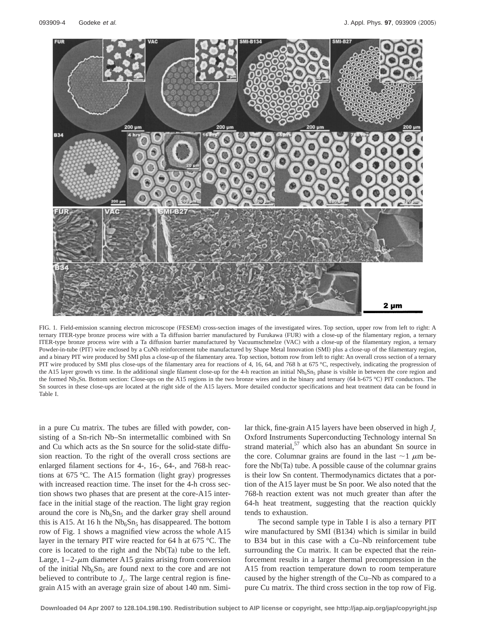

FIG. 1. Field-emission scanning electron microscope (FESEM) cross-section images of the investigated wires. Top section, upper row from left to right: A ternary ITER-type bronze process wire with a Ta diffusion barrier manufactured by Furukawa (FUR) with a close-up of the filamentary region, a ternary ITER-type bronze process wire with a Ta diffusion barrier manufactured by Vacuumschmelze (VAC) with a close-up of the filamentary region, a ternary Powder-in-tube (PIT) wire enclosed by a CuNb reinforcement tube manufactured by Shape Metal Innovation (SMI) plus a close-up of the filamentary region, and a binary PIT wire produced by SMI plus a close-up of the filamentary area. Top section, bottom row from left to right: An overall cross section of a ternary PIT wire produced by SMI plus close-ups of the filamentary area for reactions of 4, 16, 64, and 768 h at 675 °C, respectively, indicating the progression of the A15 layer growth vs time. In the additional single filament close-up for the 4-h reaction an initial  $Nb_6Sn_5$  phase is visible in between the core region and the formed Nb<sub>3</sub>Sn. Bottom section: Close-ups on the A15 regions in the two bronze wires and in the binary and ternary (64 h-675 °C) PIT conductors. The Sn sources in these close-ups are located at the right side of the A15 layers. More detailed conductor specifications and heat treatment data can be found in Table I.

in a pure Cu matrix. The tubes are filled with powder, consisting of a Sn-rich Nb–Sn intermetallic combined with Sn and Cu which acts as the Sn source for the solid-state diffusion reaction. To the right of the overall cross sections are enlarged filament sections for 4-, 16-, 64-, and 768-h reactions at 675 °C. The A15 formation (light gray) progresses with increased reaction time. The inset for the 4-h cross section shows two phases that are present at the core-A15 interface in the initial stage of the reaction. The light gray region around the core is  $Nb<sub>6</sub>Sn<sub>5</sub>$  and the darker gray shell around this is A15. At 16 h the  $Nb<sub>6</sub>Sn<sub>5</sub>$  has disappeared. The bottom row of Fig. 1 shows a magnified view across the whole A15 layer in the ternary PIT wire reacted for 64 h at 675 °C. The core is located to the right and the  $Nb(Ta)$  tube to the left. Large,  $1-2$ - $\mu$ m diameter A15 grains arising from conversion of the initial  $Nb<sub>6</sub>Sn<sub>5</sub>$  are found next to the core and are not believed to contribute to  $J_c$ . The large central region is finegrain A15 with an average grain size of about 140 nm. Similar thick, fine-grain A15 layers have been observed in high *J<sub>c</sub>* Oxford Instruments Superconducting Technology internal Sn strand material,<sup>57</sup> which also has an abundant Sn source in the core. Columnar grains are found in the last  $\sim$  1  $\mu$ m before the  $Nb(Ta)$  tube. A possible cause of the columnar grains is their low Sn content. Thermodynamics dictates that a portion of the A15 layer must be Sn poor. We also noted that the 768-h reaction extent was not much greater than after the 64-h heat treatment, suggesting that the reaction quickly tends to exhaustion.

The second sample type in Table I is also a ternary PIT wire manufactured by SMI  $(B134)$  which is similar in build to B34 but in this case with a Cu–Nb reinforcement tube surrounding the Cu matrix. It can be expected that the reinforcement results in a larger thermal precompression in the A15 from reaction temperature down to room temperature caused by the higher strength of the Cu–Nb as compared to a pure Cu matrix. The third cross section in the top row of Fig.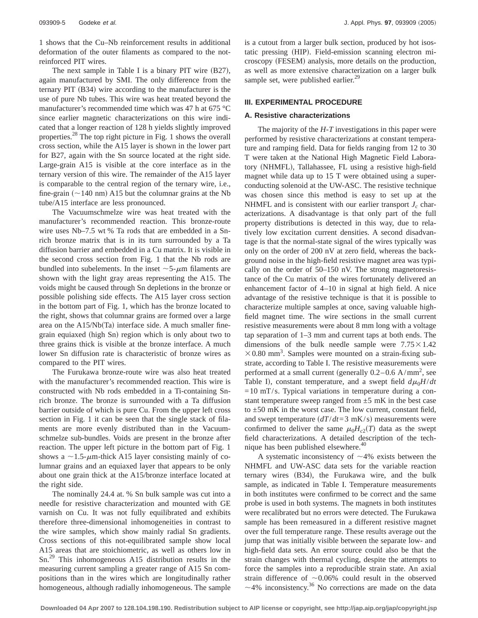1 shows that the Cu–Nb reinforcement results in additional deformation of the outer filaments as compared to the notreinforced PIT wires.

The next sample in Table I is a binary PIT wire  $(B27)$ , again manufactured by SMI. The only difference from the ternary PIT  $(B34)$  wire according to the manufacturer is the use of pure Nb tubes. This wire was heat treated beyond the manufacturer's recommended time which was 47 h at 675 °C since earlier magnetic characterizations on this wire indicated that a longer reaction of 128 h yields slightly improved properties.<sup>28</sup> The top right picture in Fig. 1 shows the overall cross section, while the A15 layer is shown in the lower part for B27, again with the Sn source located at the right side. Large-grain A15 is visible at the core interface as in the ternary version of this wire. The remainder of the A15 layer is comparable to the central region of the ternary wire, i.e., fine-grain  $(\sim 140 \text{ nm})$  A15 but the columnar grains at the Nb tube/A15 interface are less pronounced.

The Vacuumschmelze wire was heat treated with the manufacturer's recommended reaction. This bronze-route wire uses Nb–7.5 wt % Ta rods that are embedded in a Snrich bronze matrix that is in its turn surrounded by a Ta diffusion barrier and embedded in a Cu matrix. It is visible in the second cross section from Fig. 1 that the Nb rods are bundled into subelements. In the inset  $\sim$  5- $\mu$ m filaments are shown with the light gray areas representing the A15. The voids might be caused through Sn depletions in the bronze or possible polishing side effects. The A15 layer cross section in the bottom part of Fig. 1, which has the bronze located to the right, shows that columnar grains are formed over a large area on the  $A15/Nb(Ta)$  interface side. A much smaller finegrain equiaxed (high Sn) region which is only about two to three grains thick is visible at the bronze interface. A much lower Sn diffusion rate is characteristic of bronze wires as compared to the PIT wires.

The Furukawa bronze-route wire was also heat treated with the manufacturer's recommended reaction. This wire is constructed with Nb rods embedded in a Ti-containing Snrich bronze. The bronze is surrounded with a Ta diffusion barrier outside of which is pure Cu. From the upper left cross section in Fig. 1 it can be seen that the single stack of filaments are more evenly distributed than in the Vacuumschmelze sub-bundles. Voids are present in the bronze after reaction. The upper left picture in the bottom part of Fig. 1 shows a  $\sim$ 1.5- $\mu$ m-thick A15 layer consisting mainly of columnar grains and an equiaxed layer that appears to be only about one grain thick at the A15/bronze interface located at the right side.

The nominally 24.4 at. % Sn bulk sample was cut into a needle for resistive characterization and mounted with GE varnish on Cu. It was not fully equilibrated and exhibits therefore three-dimensional inhomogeneities in contrast to the wire samples, which show mainly radial Sn gradients. Cross sections of this not-equilibrated sample show local A15 areas that are stoichiometric, as well as others low in Sn.29 This inhomogeneous A15 distribution results in the measuring current sampling a greater range of A15 Sn compositions than in the wires which are longitudinally rather homogeneous, although radially inhomogeneous. The sample

is a cutout from a larger bulk section, produced by hot isostatic pressing (HIP). Field-emission scanning electron microscopy (FESEM) analysis, more details on the production, as well as more extensive characterization on a larger bulk sample set, were published earlier. $29$ 

### **III. EXPERIMENTAL PROCEDURE**

### **A. Resistive characterizations**

The majority of the *H*-*T* investigations in this paper were performed by resistive characterizations at constant temperature and ramping field. Data for fields ranging from 12 to 30 T were taken at the National High Magnetic Field Laboratory (NHMFL), Tallahassee, FL using a resistive high-field magnet while data up to 15 T were obtained using a superconducting solenoid at the UW-ASC. The resistive technique was chosen since this method is easy to set up at the NHMFL and is consistent with our earlier transport  $J_c$  characterizations. A disadvantage is that only part of the full property distributions is detected in this way, due to relatively low excitation current densities. A second disadvantage is that the normal-state signal of the wires typically was only on the order of 200 nV at zero field, whereas the background noise in the high-field resistive magnet area was typically on the order of 50–150 nV. The strong magnetoresistance of the Cu matrix of the wires fortunately delivered an enhancement factor of 4–10 in signal at high field. A nice advantage of the resistive technique is that it is possible to characterize multiple samples at once, saving valuable highfield magnet time. The wire sections in the small current resistive measurements were about 8 mm long with a voltage tap separation of 1–3 mm and current taps at both ends. The dimensions of the bulk needle sample were  $7.75 \times 1.42$  $\times$  0.80 mm<sup>3</sup>. Samples were mounted on a strain-fixing substrate, according to Table I. The resistive measurements were performed at a small current (generally  $0.2-0.6$  A/mm<sup>2</sup>, see Table I), constant temperature, and a swept field  $d\mu_0H/dt$  $=10$  mT/s. Typical variations in temperature during a constant temperature sweep ranged from  $\pm$ 5 mK in the best case to  $\pm 50$  mK in the worst case. The low current, constant field, and swept temperature  $(dT/dt=3 \text{ mK/s})$  measurements were confirmed to deliver the same  $\mu_0H_{c2}(T)$  data as the swept field characterizations. A detailed description of the technique has been published elsewhere.<sup>40</sup>

A systematic inconsistency of  $\sim$ 4% exists between the NHMFL and UW-ASC data sets for the variable reaction ternary wires  $(B34)$ , the Furukawa wire, and the bulk sample, as indicated in Table I. Temperature measurements in both institutes were confirmed to be correct and the same probe is used in both systems. The magnets in both institutes were recalibrated but no errors were detected. The Furukawa sample has been remeasured in a different resistive magnet over the full temperature range. These results average out the jump that was initially visible between the separate low- and high-field data sets. An error source could also be that the strain changes with thermal cycling, despite the attempts to force the samples into a reproducible strain state. An axial strain difference of  $\sim 0.06\%$  could result in the observed  $\sim$ 4% inconsistency.<sup>36</sup> No corrections are made on the data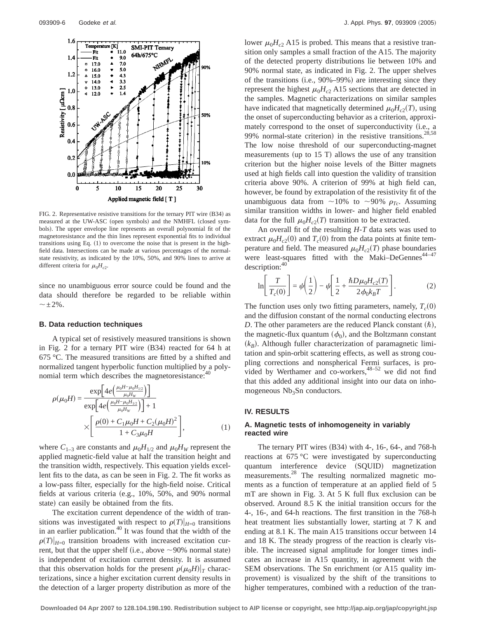

FIG. 2. Representative resistive transitions for the ternary PIT wire (B34) as measured at the UW-ASC (open symbols) and the NMHFL (closed symbols). The upper envelope line represents an overall polynomial fit of the magnetoresistance and the thin lines represent exponential fits to individual transitions using Eq.  $(1)$  to overcome the noise that is present in the highfield data. Intersections can be made at various percentages of the normalstate resistivity, as indicated by the 10%, 50%, and 90% lines to arrive at different criteria for  $\mu_0H_{c2}$ .

since no unambiguous error source could be found and the data should therefore be regarded to be reliable within  $\sim\pm2\%$ .

#### **B. Data reduction techniques**

A typical set of resistively measured transitions is shown in Fig. 2 for a ternary PIT wire  $(B34)$  reacted for 64 h at 675 °C. The measured transitions are fitted by a shifted and normalized tangent hyperbolic function multiplied by a polynomial term which describes the magnetoresistance:<sup>4</sup>

$$
\rho(\mu_0 H) = \frac{\exp\left[4e\left(\frac{\mu_0 H - \mu_0 H_{1/2}}{\mu_0 H_W}\right)\right]}{\exp\left[4e\left(\frac{\mu_0 H - \mu_0 H_{1/2}}{\mu_0 H_W}\right)\right] + 1} \times \left[\frac{\rho(0) + C_1 \mu_0 H + C_2(\mu_0 H)^2}{1 + C_3 \mu_0 H}\right],
$$
\n(1)

where  $C_{1-3}$  are constants and  $\mu_0H_{1/2}$  and  $\mu_0H_W$  represent the applied magnetic-field value at half the transition height and the transition width, respectively. This equation yields excellent fits to the data, as can be seen in Fig. 2. The fit works as a low-pass filter, especially for the high-field noise. Critical fields at various criteria (e.g.,  $10\%$ ,  $50\%$ , and  $90\%$  normal state) can easily be obtained from the fits.

The excitation current dependence of the width of transitions was investigated with respect to  $\rho(T)|_{H=0}$  transitions in an earlier publication.<sup>40</sup> It was found that the width of the  $\rho(T)|_{H=0}$  transition broadens with increased excitation current, but that the upper shelf (i.e., above  $\sim$ 90% normal state) is independent of excitation current density. It is assumed that this observation holds for the present  $\rho(\mu_0H)|_T$  characterizations, since a higher excitation current density results in the detection of a larger property distribution as more of the lower  $\mu_0H_{c2}$  A15 is probed. This means that a resistive transition only samples a small fraction of the A15. The majority of the detected property distributions lie between 10% and 90% normal state, as indicated in Fig. 2. The upper shelves of the transitions (i.e.,  $90\% - 99\%$ ) are interesting since they represent the highest  $\mu_0H_{c2}$  A15 sections that are detected in the samples. Magnetic characterizations on similar samples have indicated that magnetically determined  $\mu_0H_{c2}(T)$ , using the onset of superconducting behavior as a criterion, approximately correspond to the onset of superconductivity (i.e., a 99% normal-state criterion) in the resistive transitions.<sup>28,58</sup> The low noise threshold of our superconducting-magnet measurements (up to  $15$  T) allows the use of any transition criterion but the higher noise levels of the Bitter magnets used at high fields call into question the validity of transition criteria above 90%. A criterion of 99% at high field can, however, be found by extrapolation of the resistivity fit of the unambiguous data from  $\sim$ 10% to  $\sim$ 90%  $\rho_{Tc}$ . Assuming similar transition widths in lower- and higher field enabled data for the full  $\mu_0H_{c2}(T)$  transition to be extracted.

An overall fit of the resulting *H*-*T* data sets was used to extract  $\mu_0H_{c2}(0)$  and  $T_c(0)$  from the data points at finite temperature and field. The measured  $\mu_0H_{c2}(T)$  phase boundaries were least-squares fitted with the Maki–DeGennes<sup>44-47</sup> description:40

$$
\ln\left[\frac{T}{T_c(0)}\right] = \psi\left(\frac{1}{2}\right) - \psi\left[\frac{1}{2} + \frac{\hbar D\mu_0 H_{c2}(T)}{2\phi_0 k_B T}\right].
$$
 (2)

The function uses only two fitting parameters, namely,  $T_c(0)$ and the diffusion constant of the normal conducting electrons *D*. The other parameters are the reduced Planck constant  $(h)$ , the magnetic-flux quantum  $(\phi_0)$ , and the Boltzmann constant  $(k_B)$ . Although fuller characterization of paramagnetic limitation and spin-orbit scattering effects, as well as strong coupling corrections and nonspherical Fermi surfaces, is provided by Werthamer and co-workers,  $48-52$  we did not find that this added any additional insight into our data on inhomogeneous  $Nb<sub>3</sub>Sn$  conductors.

## **IV. RESULTS**

## **A. Magnetic tests of inhomogeneity in variably reacted wire**

The ternary PIT wires  $(B34)$  with 4-, 16-, 64-, and 768-h reactions at 675 °C were investigated by superconducting quantum interference device (SQUID) magnetization measurements.<sup>28</sup> The resulting normalized magnetic moments as a function of temperature at an applied field of 5 mT are shown in Fig. 3. At 5 K full flux exclusion can be observed. Around 8.5 K the initial transition occurs for the 4-, 16-, and 64-h reactions. The first transition in the 768-h heat treatment lies substantially lower, starting at 7 K and ending at 8.1 K. The main A15 transitions occur between 14 and 18 K. The steady progress of the reaction is clearly visible. The increased signal amplitude for longer times indicates an increase in A15 quantity, in agreement with the SEM observations. The Sn enrichment (or A15 quality improvement) is visualized by the shift of the transitions to higher temperatures, combined with a reduction of the tran-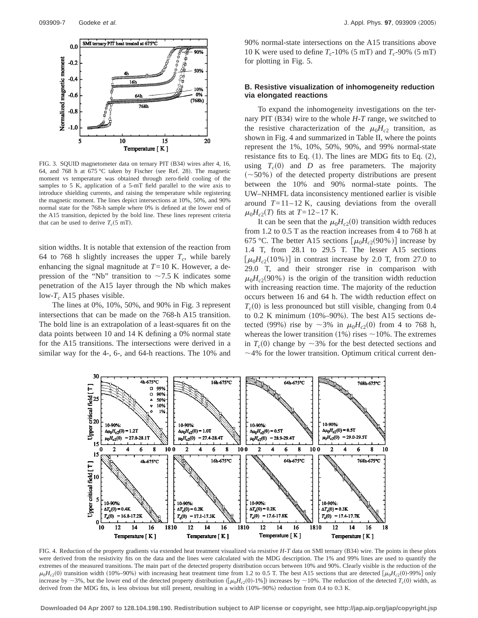

FIG. 3. SQUID magnetometer data on ternary PIT (B34) wires after 4, 16, 64, and 768 h at 675 °C taken by Fischer (see Ref. 28). The magnetic moment vs temperature was obtained through zero-field cooling of the samples to 5 K, application of a 5-mT field parallel to the wire axis to introduce shielding currents, and raising the temperature while registering the magnetic moment. The lines depict intersections at 10%, 50%, and 90% normal state for the 768-h sample where 0% is defined at the lower end of the A15 transition, depicted by the bold line. These lines represent criteria that can be used to derive  $T_c$ (5 mT).

sition widths. It is notable that extension of the reaction from 64 to 768 h slightly increases the upper  $T_c$ , while barely enhancing the signal magnitude at  $T=10$  K. However, a depression of the "Nb" transition to  $\sim$  7.5 K indicates some penetration of the A15 layer through the Nb which makes low- $T_c$  A15 phases visible.

The lines at 0%, 10%, 50%, and 90% in Fig. 3 represent intersections that can be made on the 768-h A15 transition. The bold line is an extrapolation of a least-squares fit on the data points between 10 and 14 K defining a 0% normal state for the A15 transitions. The intersections were derived in a similar way for the 4-, 6-, and 64-h reactions. The 10% and 90% normal-state intersections on the A15 transitions above 10 K were used to define  $T_c$ -10% (5 mT) and  $T_c$ -90% (5 mT) for plotting in Fig. 5.

## **B. Resistive visualization of inhomogeneity reduction via elongated reactions**

To expand the inhomogeneity investigations on the ternary PIT (B34) wire to the whole  $H$ - $T$  range, we switched to the resistive characterization of the  $\mu_0H_{c2}$  transition, as shown in Fig. 4 and summarized in Table II, where the points represent the 1%, 10%, 50%, 90%, and 99% normal-state resistance fits to Eq.  $(1)$ . The lines are MDG fits to Eq.  $(2)$ , using  $T_c(0)$  and *D* as free parameters. The majority  $\sim 50\%$ ) of the detected property distributions are present between the 10% and 90% normal-state points. The UW–NHMFL data inconsistency mentioned earlier is visible around  $T=11-12$  K, causing deviations from the overall  $\mu_0H_{c2}(T)$  fits at  $T=12-17$  K.

It can be seen that the  $\mu_0H_{c2}(0)$  transition width reduces from 1.2 to 0.5 T as the reaction increases from 4 to 768 h at 675 °C. The better A15 sections  $\left[\mu_0H_{c2}(90\%) \right]$  increase by 1.4 T, from 28.1 to 29.5 T. The lesser A15 sections  $\left[\mu_0H_{c2}(10\%) \right]$  in contrast increase by 2.0 T, from 27.0 to 29.0 T, and their stronger rise in comparison with  $\mu_0H_{c2}(90\%)$  is the origin of the transition width reduction with increasing reaction time. The majority of the reduction occurs between 16 and 64 h. The width reduction effect on  $T_c(0)$  is less pronounced but still visible, changing from 0.4 to 0.2 K minimum  $(10\% - 90\%)$ . The best A15 sections detected (99%) rise by  $\sim 3\%$  in  $\mu_0 H_{c2}(0)$  from 4 to 768 h, whereas the lower transition (1%) rises  $\sim$  10%. The extremes in  $T_c(0)$  change by  $\sim$ 3% for the best detected sections and  $\sim$ 4% for the lower transition. Optimum critical current den-



FIG. 4. Reduction of the property gradients via extended heat treatment visualized via resistive *H*-*T* data on SMI ternary (B34) wire. The points in these plots were derived from the resistivity fits on the data and the lines were calculated with the MDG description. The 1% and 99% lines are used to quantify the extremes of the measured transitions. The main part of the detected property distribution occurs between 10% and 90%. Clearly visible is the reduction of the  $\mu_0 H_{c2}(0)$  transition width (10%–90%) with increasing heat treatment time from 1.2 to 0.5 T. The best A15 sections that are detected  $\left[\mu_0 H_{c2}(0)$ -99% g only increase by  $\sim$ 3%, but the lower end of the detected property distribution ( $\left[\mu_0H_{c2}(0)-1\% \right]$ ) increases by  $\sim$ 10%. The reduction of the detected  $T_c(0)$  width, as derived from the MDG fits, is less obvious but still present, resulting in a width  $(10\% - 90\%)$  reduction from 0.4 to 0.3 K.

**Downloaded 04 Apr 2007 to 128.104.198.190. Redistribution subject to AIP license or copyright, see http://jap.aip.org/jap/copyright.jsp**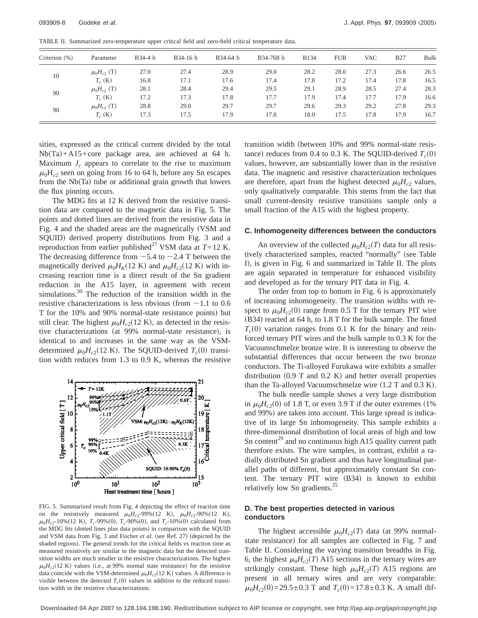| Criterion (%) | Parameter          | B34-4 h | B34-16 h | B34-64 h | B34-768 h | <b>B134</b> | <b>FUR</b> | <b>VAC</b> | <b>B27</b> | Bulk |
|---------------|--------------------|---------|----------|----------|-----------|-------------|------------|------------|------------|------|
| 10            | $\mu_0H_{c2}$ (T)  | 27.0    | 27.4     | 28.9     | 29.0      | 28.2        | 28.0       | 27.3       | 26.6       | 26.5 |
|               | $T_c$ (K)          | 16.8    | 17.1     | 17.6     | 17.4      | 17.8        | 17.2       | 17.4       | 17.8       | 16.5 |
| 90            | $\mu_0 H_{c2}$ (T) | 28.1    | 28.4     | 29.4     | 29.5      | 29.1        | 28.9       | 28.5       | 27.4       | 28.3 |
|               | $T_c$ (K)          | 17.2    | 17.3     | 17.8     | 17.7      | 17.9        | 17.4       | 17.7       | 17.9       | 16.6 |
| 90            | $\mu_0H_{c2}$ (T)  | 28.8    | 29.0     | 29.7     | 29.7      | 29.6        | 29.3       | 29.2       | 27.8       | 29.3 |
|               | $T_c$ (K)          | 17.3    | 17.5     | 17.9     | 17.8      | 18.0        | 17.5       | 17.8       | 17.9       | 16.7 |

TABLE II. Summarized zero-temperature upper critical field and zero-field critical temperature data.

sities, expressed as the critical current divided by the total  $Nb(Ta) + A15+core$  package area, are achieved at 64 h. Maximum  $J_c$  appears to correlate to the rise to maximum  $\mu_0$ H<sub>c2</sub> seen on going from 16 to 64 h, before any Sn escapes from the  $Nb(Ta)$  tube or additional grain growth that lowers the flux pinning occurs.

The MDG fits at 12 K derived from the resistive transition data are compared to the magnetic data in Fig. 5. The points and dotted lines are derived from the resistive data in Fig. 4 and the shaded areas are the magnetically (VSM and SQUID) derived property distributions from Fig. 3 and a reproduction from earlier published<sup>27</sup> VSM data at  $T=12$  K. The decreasing difference from  $\sim$  5.4 to  $\sim$  2.4 T between the magnetically derived  $\mu_0 H_K(12 \text{ K})$  and  $\mu_0 H_{c2}(12 \text{ K})$  with increasing reaction time is a direct result of the Sn gradient reduction in the A15 layer, in agreement with recent simulations. $30$  The reduction of the transition width in the resistive characterizations is less obvious (from  $\sim$  1.1 to 0.6 T for the 10% and 90% normal-state resistance points) but still clear. The highest  $\mu_0H_{c2}(12 \text{ K})$ , as detected in the resistive characterizations (at 99% normal-state resistance), is identical to and increases in the same way as the VSMdetermined  $\mu_0 H_{c2}(12 \text{ K})$ . The SQUID-derived  $T_c(0)$  transition width reduces from 1.3 to 0.9 K, whereas the resistive



FIG. 5. Summarized result from Fig. 4 depicting the effect of reaction time on the resistively measured  $\mu_0 H_{c2}$ -99%(12 K),  $\mu_0 H_{c2}$ -90%(12 K),  $\mu_0H_{c2}$ -10% (12 K),  $T_c$ -99% (0),  $T_c$ -90% (0), and  $T_c$ -10% (0) calculated from the MDG fits (dotted lines plus data points) in comparison with the SQUID and VSM data from Fig. 3 and Fischer et al. (see Ref. 27) (depicted by the shaded regions). The general trends for the critical fields vs reaction time as measured resistively are similar to the magnetic data but the detected transition widths are much smaller in the resistive characterizations. The highest  $\mu_0H_{c2}(12 \text{ K})$  values (i.e., at 99% normal state resistance) for the resistive data coincide with the VSM-determined  $\mu_0H_{c2}(12 \text{ K})$  values. A difference is visible between the detected  $T_c(0)$  values in addition to the reduced transition width in the resistive characterizations.

transition width (between 10% and 99% normal-state resistance) reduces from 0.4 to 0.3 K. The SQUID-derived  $T_c(0)$ values, however, are substantially lower than in the resistive data. The magnetic and resistive characterization techniques are therefore, apart from the highest detected  $\mu_0 H_{c2}$  values, only qualitatively comparable. This stems from the fact that small current-density resistive transitions sample only a small fraction of the A15 with the highest property.

#### **C. Inhomogeneity differences between the conductors**

An overview of the collected  $\mu_0H_{c2}(T)$  data for all resistively characterized samples, reacted "normally" (see Table I), is given in Fig. 6 and summarized in Table II. The plots are again separated in temperature for enhanced visibility and developed as for the ternary PIT data in Fig. 4.

The order from top to bottom in Fig. 6 is approximately of increasing inhomogeneity. The transition widths with respect to  $\mu_0H_{c2}(0)$  range from 0.5 T for the ternary PIT wire  $(B34)$  reacted at 64 h, to 1.8 T for the bulk sample. The fitted  $T_c(0)$  variation ranges from 0.1 K for the binary and reinforced ternary PIT wires and the bulk sample to 0.3 K for the Vacuumschmelze bronze wire. It is interesting to observe the substantial differences that occur between the two bronze conductors. The Ti-alloyed Furukawa wire exhibits a smaller distribution  $(0.9$  T and  $0.2$  K) and better overall properties than the Ta-alloyed Vacuumschmelze wire  $(1.2$  T and  $0.3$  K).

The bulk needle sample shows a very large distribution in  $\mu_0H_{c2}(0)$  of 1.8 T, or even 3.9 T if the outer extremes (1%) and 99%) are taken into account. This large spread is indicative of its large Sn inhomogeneity. This sample exhibits a three-dimensional distribution of local areas of high and low Sn content<sup>29</sup> and no continuous high A15 quality current path therefore exists. The wire samples, in contrast, exhibit a radially distributed Sn gradient and thus have longitudinal parallel paths of different, but approximately constant Sn content. The ternary PIT wire  $(B34)$  is known to exhibit relatively low Sn gradients.<sup>25</sup>

### **D. The best properties detected in various conductors**

The highest accessible  $\mu_0 H_{c2}(T)$  data (at 99% normalstate resistance) for all samples are collected in Fig. 7 and Table II. Considering the varying transition breadths in Fig. 6, the highest  $\mu_0 H_{c2}(T)$  A15 sections in the ternary wires are strikingly constant. These high  $\mu_0H_{c2}(T)$  A15 regions are present in all ternary wires and are very comparable:  $\mu_0H_{c2}(0)$ =29.5±0.3 T and  $T_c(0)$ =17.8±0.3 K. A small dif-

**Downloaded 04 Apr 2007 to 128.104.198.190. Redistribution subject to AIP license or copyright, see http://jap.aip.org/jap/copyright.jsp**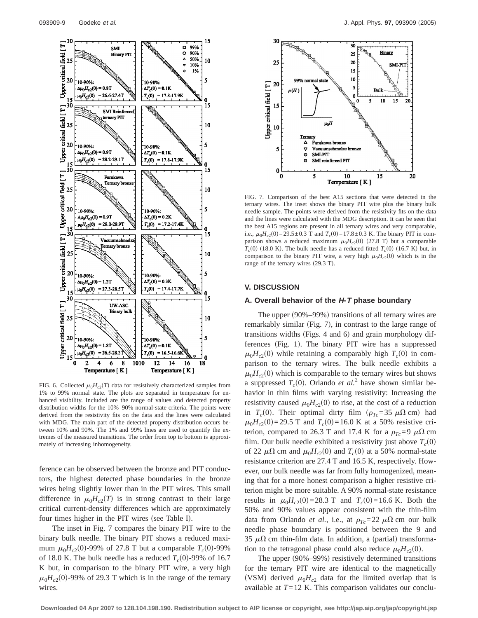

FIG. 6. Collected  $\mu_0 H_{c2}(T)$  data for resistively characterized samples from 1% to 99% normal state. The plots are separated in temperature for enhanced visibility. Included are the range of values and detected property distribution widths for the 10%–90% normal-state criteria. The points were derived from the resistivity fits on the data and the lines were calculated with MDG. The main part of the detected property distribution occurs between 10% and 90%. The 1% and 99% lines are used to quantify the extremes of the measured transitions. The order from top to bottom is approximately of increasing inhomogeneity.

ference can be observed between the bronze and PIT conductors, the highest detected phase boundaries in the bronze wires being slightly lower than in the PIT wires. This small difference in  $\mu_0H_{c2}(T)$  is in strong contrast to their large critical current-density differences which are approximately four times higher in the PIT wires (see Table I).

The inset in Fig. 7 compares the binary PIT wire to the binary bulk needle. The binary PIT shows a reduced maximum  $\mu_0 H_{c2}(0)$ -99% of 27.8 T but a comparable  $T_c(0)$ -99% of 18.0 K. The bulk needle has a reduced  $T_c(0)$ -99% of 16.7 K but, in comparison to the binary PIT wire, a very high  $\mu_0H_{c2}(0)$ -99% of 29.3 T which is in the range of the ternary wires.



FIG. 7. Comparison of the best A15 sections that were detected in the ternary wires. The inset shows the binary PIT wire plus the binary bulk needle sample. The points were derived from the resistivity fits on the data and the lines were calculated with the MDG description. It can be seen that the best A15 regions are present in all ternary wires and very comparable, i.e.,  $\mu_0 H_{c2}(0) = 29.5 \pm 0.3$  T and  $T_c(0) = 17.8 \pm 0.3$  K. The binary PIT in comparison shows a reduced maximum  $\mu_0H_{c2}(0)$  (27.8 T) but a comparable  $T_c(0)$  (18.0 K). The bulk needle has a reduced fitted  $T_c(0)$  (16.7 K) but, in comparison to the binary PIT wire, a very high  $\mu_0H_{c2}(0)$  which is in the range of the ternary wires  $(29.3 \text{ T})$ .

#### **V. DISCUSSION**

#### **A. Overall behavior of the H-T phase boundary**

The upper  $(90\% - 99\%)$  transitions of all ternary wires are remarkably similar (Fig. 7), in contrast to the large range of transitions widths (Figs. 4 and  $6$ ) and grain morphology differences (Fig. 1). The binary PIT wire has a suppressed  $\mu_0H_{c2}(0)$  while retaining a comparably high  $T_c(0)$  in comparison to the ternary wires. The bulk needle exhibits a  $\mu_0H_{c2}(0)$  which is comparable to the ternary wires but shows a suppressed  $T_c(0)$ . Orlando *et al.*<sup>2</sup> have shown similar behavior in thin films with varying resistivity: Increasing the resistivity caused  $\mu_0H_{c2}(0)$  to rise, at the cost of a reduction in  $T_c(0)$ . Their optimal dirty film  $(\rho_{T_c}=35 \mu \Omega \text{ cm})$  had  $\mu_0 H_{c2}(0) = 29.5$  T and  $T_c(0) = 16.0$  K at a 50% resistive criterion, compared to 26.3 T and 17.4 K for a  $\rho_{Tc}$ =9  $\mu\Omega$  cm film. Our bulk needle exhibited a resistivity just above  $T_c(0)$ of 22  $\mu\Omega$  cm and  $\mu_0H_{c2}(0)$  and  $T_c(0)$  at a 50% normal-state resistance criterion are 27.4 T and 16.5 K, respectively. However, our bulk needle was far from fully homogenized, meaning that for a more honest comparison a higher resistive criterion might be more suitable. A 90% normal-state resistance results in  $\mu_0 H_{c2}(0) = 28.3$  T and  $T_c(0) = 16.6$  K. Both the 50% and 90% values appear consistent with the thin-film data from Orlando *et al.*, i.e., at  $\rho_{Tc}=22 \mu \Omega$  cm our bulk needle phase boundary is positioned between the 9 and 35  $\mu\Omega$  cm thin-film data. In addition, a (partial) transformation to the tetragonal phase could also reduce  $\mu_0H_{c2}(0)$ .

The upper  $(90\% - 99\%)$  resistively determined transitions for the ternary PIT wire are identical to the magnetically (VSM) derived  $\mu_0H_{c2}$  data for the limited overlap that is available at *T*=12 K. This comparison validates our conclu-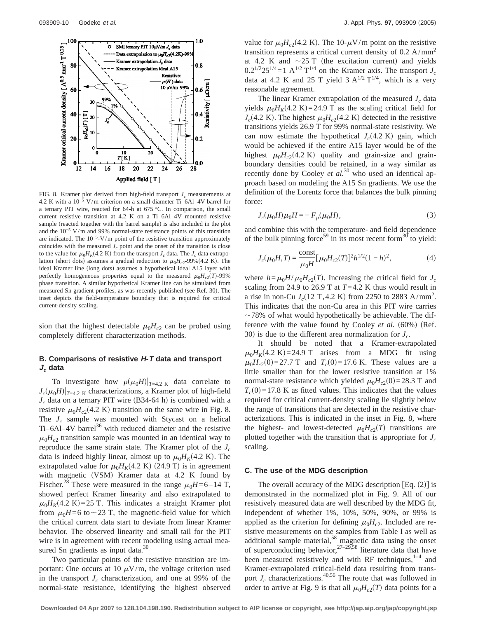

FIG. 8. Kramer plot derived from high-field transport  $J_c$  measurements at 4.2 K with a 10−5-V/m criterion on a small diameter Ti–6Al–4V barrel for a ternary PIT wire, reacted for 64-h at 675 °C. In comparison, the small current resistive transition at 4.2 K on a Ti–6Al–4V mounted resistive sample (reacted together with the barrel sample) is also included in the plot and the 10−5 V/m and 99% normal-state resistance points of this transition are indicated. The  $10^{-5}$ -V/m point of the resistive transition approximately coincides with the measured  $J_c$  point and the onset of the transition is close to the value for  $\mu_0 H_K(4.2 \text{ K})$  from the transport  $J_c$  data. The  $J_c$  data extrapolation (short dots) assumes a gradual reduction to  $\mu_0H_{c2}$ -99%(4.2 K). The ideal Kramer line (long dots) assumes a hypothetical ideal A15 layer with perfectly homogeneous properties equal to the measured  $\mu_0H_c(T)$ -99% phase transition. A similar hypothetical Kramer line can be simulated from measured Sn gradient profiles, as was recently published (see Ref. 30). The inset depicts the field-temperature boundary that is required for critical current-density scaling.

sion that the highest detectable  $\mu_0H_{c2}$  can be probed using completely different characterization methods.

## **B. Comparisons of resistive H-T data and transport J<sup>c</sup> data**

To investigate how  $\rho(\mu_0H)|_{T=4.2 \text{ K}}$  data correlate to  $J_c(\mu_0H)|_{T=4.2 \text{ K}}$  characterizations, a Kramer plot of high-field  $J_c$  data on a ternary PIT wire (B34-64 h) is combined with a resistive  $\mu_0H_{c2}(4.2 \text{ K})$  transition on the same wire in Fig. 8. The  $J_c$  sample was mounted with Stycast on a helical Ti–6Al–4V barrel<sup>36</sup> with reduced diameter and the resistive  $\mu_0H_{c2}$  transition sample was mounted in an identical way to reproduce the same strain state. The Kramer plot of the *Jc* data is indeed highly linear, almost up to  $\mu_0 H_K(4.2 \text{ K})$ . The extrapolated value for  $\mu_0 H_K(4.2 \text{ K})$  (24.9 T) is in agreement with magnetic (VSM) Kramer data at  $4.2$  K found by Fischer.<sup>28</sup> These were measured in the range  $\mu_0H$ =6–14 T, showed perfect Kramer linearity and also extrapolated to  $\mu_0 H_K$ (4.2 K) = 25 T. This indicates a straight Kramer plot from  $\mu_0H=6$  to  $\sim$  23 T, the magnetic-field value for which the critical current data start to deviate from linear Kramer behavior. The observed linearity and small tail for the PIT wire is in agreement with recent modeling using actual measured Sn gradients as input data. $30$ 

Two particular points of the resistive transition are important: One occurs at 10  $\mu$ V/m, the voltage criterion used in the transport  $J_c$  characterization, and one at 99% of the normal-state resistance, identifying the highest observed value for  $\mu_0H_{c2}(4.2 \text{ K})$ . The 10- $\mu$ V/m point on the resistive transition represents a critical current density of  $0.2 \text{ A/mm}^2$ at 4.2 K and  $\sim$  25 T (the excitation current) and yields  $0.2^{1/2}25^{1/4} = 1$  A<sup>1/2</sup> T<sup>1/4</sup> on the Kramer axis. The transport  $J_c$ data at 4.2 K and 25 T yield 3  $A^{1/2}$  T<sup>1/4</sup>, which is a very reasonable agreement.

The linear Kramer extrapolation of the measured  $J_c$  data yields  $\mu_0 H_K(4.2 \text{ K}) = 24.9 \text{ T}$  as the scaling critical field for  $J_c$ (4.2 K). The highest  $\mu_0 H_{c2}$ (4.2 K) detected in the resistive transitions yields 26.9 T for 99% normal-state resistivity. We can now estimate the hypothetical  $J_c(4.2 \text{ K})$  gain, which would be achieved if the entire A15 layer would be of the highest  $\mu_0H_{c2}(4.2 \text{ K})$  quality and grain-size and grainboundary densities could be retained, in a way similar as recently done by Cooley *et al.*<sup>30</sup> who used an identical approach based on modeling the A15 Sn gradients. We use the definition of the Lorentz force that balances the bulk pinning force:

$$
J_c(\mu_0 H)\mu_0 H = -F_p(\mu_0 H),
$$
\n(3)

and combine this with the temperature- and field dependence of the bulk pinning force<sup>59</sup> in its most recent form<sup>30</sup> to yield:

$$
J_c(\mu_0 H, T) = \frac{\text{const}}{\mu_0 H} [\mu_0 H_{c2}(T)]^2 h^{1/2} (1 - h)^2,
$$
 (4)

where  $h = \mu_0 H / \mu_0 H_{c2}(T)$ . Increasing the critical field for  $J_c$ scaling from 24.9 to 26.9 T at *T*=4.2 K thus would result in a rise in non-Cu  $J_c(12 \text{ T}, 4.2 \text{ K})$  from 2250 to 2883 A/mm<sup>2</sup>. This indicates that the non-Cu area in this PIT wire carries  $\sim$ 78% of what would hypothetically be achievable. The difference with the value found by Cooley *et al.* (60%) (Ref. 30) is due to the different area normalization for  $J_c$ .

It should be noted that a Kramer-extrapolated  $\mu_0 H_K$ (4.2 K) = 24.9 T arises from a MDG fit using  $\mu_0 H_{c2}(0) = 27.7$  T and  $T_c(0) = 17.6$  K. These values are a little smaller than for the lower resistive transition at 1% normal-state resistance which yielded  $\mu_0H_{c2}(0)=28.3$  T and  $T_c(0)$ =17.8 K as fitted values. This indicates that the values required for critical current-density scaling lie slightly below the range of transitions that are detected in the resistive characterizations. This is indicated in the inset in Fig. 8, where the highest- and lowest-detected  $\mu_0H_c(1)$  transitions are plotted together with the transition that is appropriate for  $J_c$ scaling.

#### **C. The use of the MDG description**

The overall accuracy of the MDG description  $[Eq. (2)]$  is demonstrated in the normalized plot in Fig. 9. All of our resistively measured data are well described by the MDG fit, independent of whether 1%, 10%, 50%, 90%, or 99% is applied as the criterion for defining  $\mu_0H_{c2}$ . Included are resistive measurements on the samples from Table I as well as additional sample material,<sup>58</sup> magnetic data using the onset of superconducting behavior,  $27-29,58$  literature data that have been measured resistively and with RF techniques, $1-4$  and Kramer-extrapolated critical-field data resulting from transport  $J_c$  characterizations.<sup>40,56</sup> The route that was followed in order to arrive at Fig. 9 is that all  $\mu_0H_{c2}(T)$  data points for a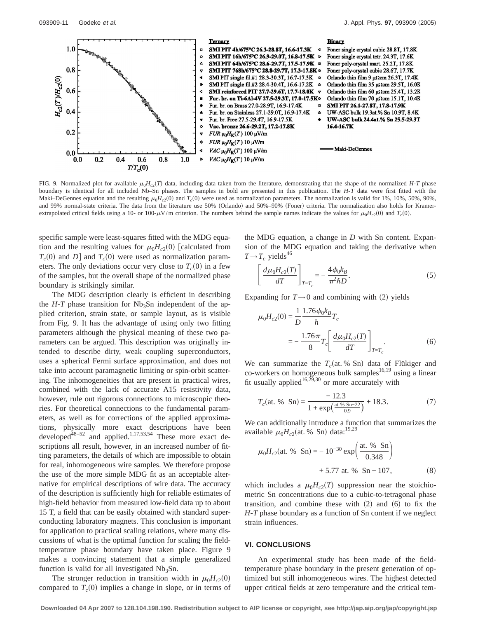

FIG. 9. Normalized plot for available  $\mu_0 H_{c2}(T)$  data, including data taken from the literature, demonstrating that the shape of the normalized *H-T* phase boundary is identical for all included Nb–Sn phases. The samples in bold are presented in this publication. The *H*-*T* data were first fitted with the Maki–DeGennes equation and the resulting  $\mu_0 H_{c2}(0)$  and  $T_c(0)$  were used as normalization parameters. The normalization is valid for 1%, 10%, 50%, 90%, and 99% normal-state criteria. The data from the literature use 50% (Orlando) and 50%–90% (Foner) criteria. The normalization also holds for Kramerextrapolated critical fields using a 10- or 100- $\mu$ V/m criterion. The numbers behind the sample names indicate the values for  $\mu_0H_{c2}(0)$  and  $T_c(0)$ .

specific sample were least-squares fitted with the MDG equation and the resulting values for  $\mu_0H_{c2}(0)$  [calculated from  $T_c(0)$  and *D*] and  $T_c(0)$  were used as normalization parameters. The only deviations occur very close to  $T_c(0)$  in a few of the samples, but the overall shape of the normalized phase boundary is strikingly similar.

The MDG description clearly is efficient in describing the  $H - T$  phase transition for Nb<sub>3</sub>Sn independent of the applied criterion, strain state, or sample layout, as is visible from Fig. 9. It has the advantage of using only two fitting parameters although the physical meaning of these two parameters can be argued. This description was originally intended to describe dirty, weak coupling superconductors, uses a spherical Fermi surface approximation, and does not take into account paramagnetic limiting or spin-orbit scattering. The inhomogeneities that are present in practical wires, combined with the lack of accurate A15 resistivity data, however, rule out rigorous connections to microscopic theories. For theoretical connections to the fundamental parameters, as well as for corrections of the applied approximations, physically more exact descriptions have been developed<sup>48–52</sup> and applied.<sup>1,17,53,54</sup> These more exact descriptions all result, however, in an increased number of fitting parameters, the details of which are impossible to obtain for real, inhomogeneous wire samples. We therefore propose the use of the more simple MDG fit as an acceptable alternative for empirical descriptions of wire data. The accuracy of the description is sufficiently high for reliable estimates of high-field behavior from measured low-field data up to about 15 T, a field that can be easily obtained with standard superconducting laboratory magnets. This conclusion is important for application to practical scaling relations, where many discussions of what is the optimal function for scaling the fieldtemperature phase boundary have taken place. Figure 9 makes a convincing statement that a simple generalized function is valid for all investigated  $Nb<sub>3</sub>Sn$ .

The stronger reduction in transition width in  $\mu_0H_{c2}(0)$ compared to  $T_c(0)$  implies a change in slope, or in terms of the MDG equation, a change in *D* with Sn content. Expansion of the MDG equation and taking the derivative when  $T \rightarrow T_c$  yields<sup>46</sup>

$$
\left[\frac{d\mu_0 H_{c2}(T)}{dT}\right]_{T=T_c} = -\frac{4\phi_0 k_B}{\pi^2 \hbar D}.
$$
\n(5)

Expanding for  $T \rightarrow 0$  and combining with (2) yields

$$
\mu_0 H_{c2}(0) = \frac{1}{D} \frac{1.76 \phi_0 k_B}{h} T_c
$$
  
= 
$$
-\frac{1.76 \pi}{8} T_c \left[ \frac{d \mu_0 H_{c2}(T)}{dT} \right]_{T = T_c}.
$$
 (6)

We can summarize the  $T_c$ (at. % Sn) data of Flükiger and co-workers on homogeneous bulk samples<sup>16,19</sup> using a linear fit usually applied<sup>16,29,30</sup> or more accurately with

$$
T_c(\text{at. % } Sn) = \frac{-12.3}{1 + \exp\left(\frac{\text{at. % } Sn - 22}{0.9}\right)} + 18.3. \tag{7}
$$

We can additionally introduce a function that summarizes the available  $\mu_0 H_{c2}$ (at. % Sn) data:<sup>19,29</sup>

$$
\mu_0 H_{c2}(\text{at. % } Sn) = -10^{-30} \exp\left(\frac{\text{at. % } Sn}{0.348}\right) + 5.77 \text{ at. % } Sn - 107,
$$
\n(8)

which includes a  $\mu_0 H_{c2}(T)$  suppression near the stoichiometric Sn concentrations due to a cubic-to-tetragonal phase transition, and combine these with  $(2)$  and  $(6)$  to fix the *H*-*T* phase boundary as a function of Sn content if we neglect strain influences.

## **VI. CONCLUSIONS**

An experimental study has been made of the fieldtemperature phase boundary in the present generation of optimized but still inhomogeneous wires. The highest detected upper critical fields at zero temperature and the critical tem-